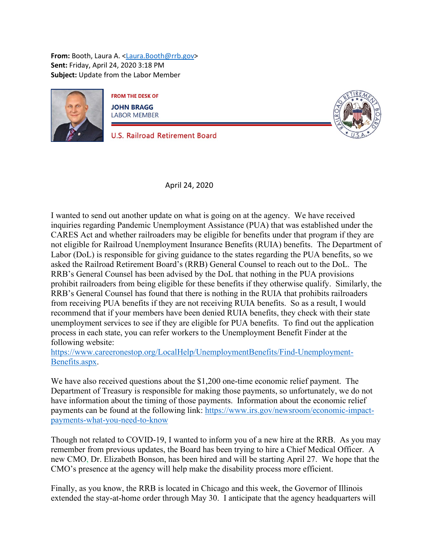**From:** Booth, Laura A. [<Laura.Booth@rrb.gov>](mailto:Laura.Booth@rrb.gov) **Sent:** Friday, April 24, 2020 3:18 PM **Subject:** Update from the Labor Member



**FROM THE DESK OF** 

**JOHN BRAGG LABOR MEMBER** 

**U.S. Railroad Retirement Board** 



April 24, 2020

I wanted to send out another update on what is going on at the agency. We have received inquiries regarding Pandemic Unemployment Assistance (PUA) that was established under the CARES Act and whether railroaders may be eligible for benefits under that program if they are not eligible for Railroad Unemployment Insurance Benefits (RUIA) benefits. The Department of Labor (DoL) is responsible for giving guidance to the states regarding the PUA benefits, so we asked the Railroad Retirement Board's (RRB) General Counsel to reach out to the DoL. The RRB's General Counsel has been advised by the DoL that nothing in the PUA provisions prohibit railroaders from being eligible for these benefits if they otherwise qualify. Similarly, the RRB's General Counsel has found that there is nothing in the RUIA that prohibits railroaders from receiving PUA benefits if they are not receiving RUIA benefits. So as a result, I would recommend that if your members have been denied RUIA benefits, they check with their state unemployment services to see if they are eligible for PUA benefits. To find out the application process in each state, you can refer workers to the Unemployment Benefit Finder at the following website:

[https://www.careeronestop.org/LocalHelp/UnemploymentBenefits/Find-Unemployment-](https://www.careeronestop.org/LocalHelp/UnemploymentBenefits/Find-Unemployment-Benefits.aspx)[Benefits.aspx.](https://www.careeronestop.org/LocalHelp/UnemploymentBenefits/Find-Unemployment-Benefits.aspx)

We have also received questions about the \$1,200 one-time economic relief payment. The Department of Treasury is responsible for making those payments, so unfortunately, we do not have information about the timing of those payments. Information about the economic relief payments can be found at the following link: [https://www.irs.gov/newsroom/economic-impact](https://www.irs.gov/newsroom/economic-impact-payments-what-you-need-to-know)[payments-what-you-need-to-know](https://www.irs.gov/newsroom/economic-impact-payments-what-you-need-to-know) 

Though not related to COVID-19, I wanted to inform you of a new hire at the RRB. As you may remember from previous updates, the Board has been trying to hire a Chief Medical Officer. A new CMO, Dr. Elizabeth Bonson, has been hired and will be starting April 27. We hope that the CMO's presence at the agency will help make the disability process more efficient.

Finally, as you know, the RRB is located in Chicago and this week, the Governor of Illinois extended the stay-at-home order through May 30. I anticipate that the agency headquarters will